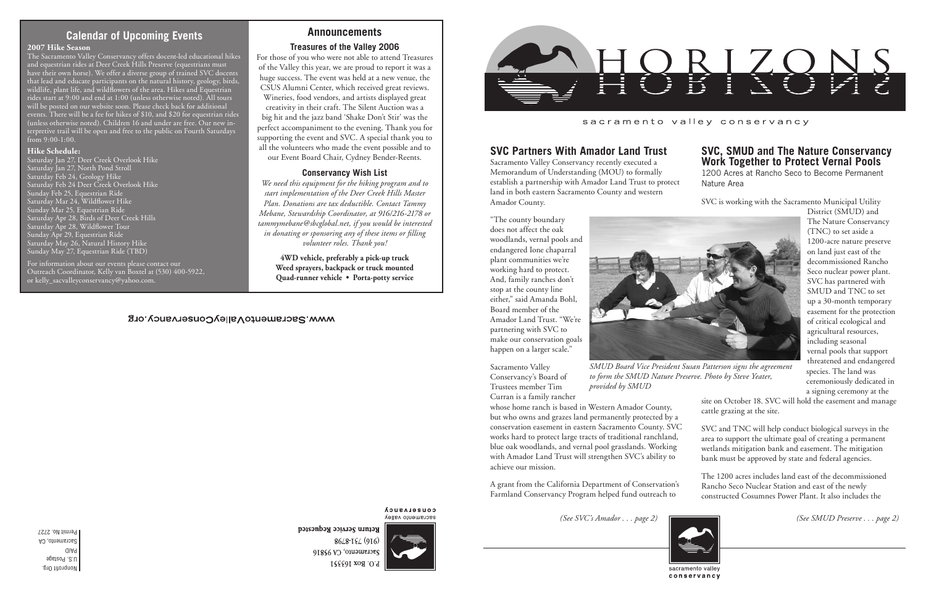Nonprofit Org. U.S. Postage PAID Sacramento, CA Permit No. 2727

#### sacramento valley conservancy

# **Calendar of Upcoming Events**

*(See SVC's Amador . . . page 2) (See SMUD Preserve . . . page 2)*



*to form the SMUD Nature Preserve. Photo by Steve Yeater,* 

*provided by SMUD*

# **SVC, SMUD and The Nature Conservancy Work Together to Protect Vernal Pools**

1200 Acres at Rancho Seco to Become Permanent Nature Area

SVC is working with the Sacramento Municipal Utility

District (SMUD) and The Nature Conservancy (TNC) to set aside a 1200-acre nature preserve on land just east of the decommissioned Rancho Seco nuclear power plant. SVC has partnered with SMUD and TNC to set up a 30-month temporary easement for the protection of critical ecological and agricultural resources, including seasonal vernal pools that support threatened and endangered species. The land was ceremoniously dedicated in a signing ceremony at the

site on October 18. SVC will hold the easement and manage

The 1200 acres includes land east of the decommissioned Rancho Seco Nuclear Station and east of the newly constructed Cosumnes Power Plant. It also includes the

# **SVC Partners With Amador Land Trust**

Sacramento Valley Conservancy recently executed a Memorandum of Understanding (MOU) to formally establish a partnership with Amador Land Trust to protect land in both eastern Sacramento County and western Amador County.

cattle grazing at the site. SVC and TNC will help conduct biological surveys in the area to support the ultimate goal of creating a permanent wetlands mitigation bank and easement. The mitigation bank must be approved by state and federal agencies. whose home ranch is based in Western Amador County, but who owns and grazes land permanently protected by a conservation easement in eastern Sacramento County. SVC works hard to protect large tracts of traditional ranchland, blue oak woodlands, and vernal pool grasslands. Working with Amador Land Trust will strengthen SVC's ability to achieve our mission.

"The county boundary does not affect the oak woodlands, vernal pools and endangered Ione chaparral plant communities we're working hard to protect. And, family ranches don't stop at the county line either," said Amanda Bohl, Board member of the Amador Land Trust. "We're partnering with SVC to make our conservation goals happen on a larger scale."

Sacramento Valley Conservancy's Board of Trustees member Tim Curran is a family rancher

A grant from the California Department of Conservation's Farmland Conservancy Program helped fund outreach to



**COUSELASUCA** sacramento valley

Return Service Requested 8648-184 (916) Sacramento, CA 95816 P.O. Box 163351

# **Announcements**

#### **Treasures of the Valley 2006**

For those of you who were not able to attend Treasures of the Valley this year, we are proud to report it was a huge success. The event was held at a new venue, the CSUS Alumni Center, which received great reviews. Wineries, food vendors, and artists displayed great creativity in their craft. The Silent Auction was a big hit and the jazz band 'Shake Don't Stir' was the perfect accompaniment to the evening. Thank you for supporting the event and SVC. A special thank you to all the volunteers who made the event possible and to our Event Board Chair, Cydney Bender-Reents.

#### **Conservancy Wish List**

*We need this equipment for the hiking program and to start implementation of the Deer Creek Hills Master Plan. Donations are tax deductible. Contact Tammy Mebane, Stewardship Coordinator, at 916/216-2178 or tammymebane@sbcglobal.net, if you would be interested in donating or sponsoring any of these items or filling volunteer roles. Thank you!*

**4WD vehicle, preferably a pick-up truck Weed sprayers, backpack or truck mounted Quad-runner vehicle • Porta-potty service**

### WWW.SacramentoValleyConservancy.org



#### **2007 Hike Season**

The Sacramento Valley Conservancy offers docent-led educational hikes and equestrian rides at Deer Creek Hills Preserve (equestrians must have their own horse). We offer a diverse group of tra<u>ined SVC docents</u> that lead and educate participants on the natural history, geology, birds, wildlife, plant life, and wildflowers of the area. Hikes and Equestrian rides start at 9:00 and end at 1:00 (unless otherwise noted). All tours will be posted on our website soon. Please check back for additional events. There will be a fee for hikes of \$10, and \$20 for equestrian rides (unless otherwise noted). Children 16 and under are free. Our new interpretive trail will be open and free to the public on Fourth Saturdays from 9:00-1:00.

#### **Hike Schedule:**

Saturday Jan 27, Deer Creek Overlook Hike Saturday Jan 27, North Pond Stroll Saturday Feb 24, Geology Hike Saturday Feb 24 Deer Creek Overlook Hike Sunday Feb 25, Equestrian Ride Saturday Mar 24, Wildflower Hike Sunday Mar 25, Equestrian Ride Saturday Apr 28, Birds of Deer Creek Hills Saturday Apr 28, Wildflower Tour Sunday Apr 29, Equestrian Ride Saturday May 26, Natural History Hike Sunday May 27, Equestrian Ride (TBD)

For information about our events please contact our Outreach Coordinator, Kelly van Boxtel at (530) 400-5922, or kelly\_sacvalleyconservancy@yahoo.com.